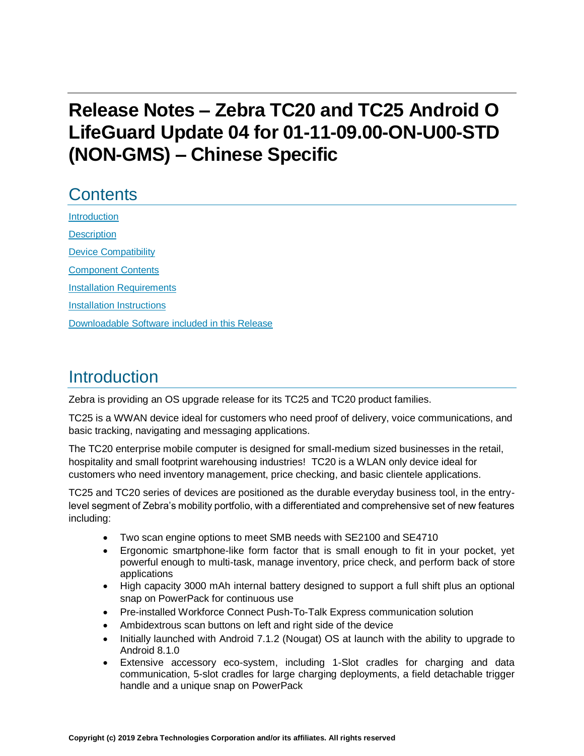# **Release Notes – Zebra TC20 and TC25 Android O LifeGuard Update 04 for 01-11-09.00-ON-U00-STD (NON-GMS) – Chinese Specific**

# **Contents**

[Introduction](#page-0-0) **[Description](#page-0-0)** [Device Compatibility](#page-2-0) [Component Contents](#page-2-1) [Installation Requirements](#page-4-0) [Installation Instructions](#page-4-1) [Downloadable Software included in this Release](#page-6-0) 

## <span id="page-0-0"></span>Introduction

Zebra is providing an OS upgrade release for its TC25 and TC20 product families.

TC25 is a WWAN device ideal for customers who need proof of delivery, voice communications, and basic tracking, navigating and messaging applications.

The TC20 enterprise mobile computer is designed for small-medium sized businesses in the retail, hospitality and small footprint warehousing industries! TC20 is a WLAN only device ideal for customers who need inventory management, price checking, and basic clientele applications.

TC25 and TC20 series of devices are positioned as the durable everyday business tool, in the entrylevel segment of Zebra's mobility portfolio, with a differentiated and comprehensive set of new features including:

- Two scan engine options to meet SMB needs with SE2100 and SE4710
- Ergonomic smartphone-like form factor that is small enough to fit in your pocket, yet powerful enough to multi-task, manage inventory, price check, and perform back of store applications
- High capacity 3000 mAh internal battery designed to support a full shift plus an optional snap on PowerPack for continuous use
- Pre-installed Workforce Connect Push-To-Talk Express communication solution
- Ambidextrous scan buttons on left and right side of the device
- Initially launched with Android 7.1.2 (Nougat) OS at launch with the ability to upgrade to Android 8.1.0
- Extensive accessory eco-system, including 1-Slot cradles for charging and data communication, 5-slot cradles for large charging deployments, a field detachable trigger handle and a unique snap on PowerPack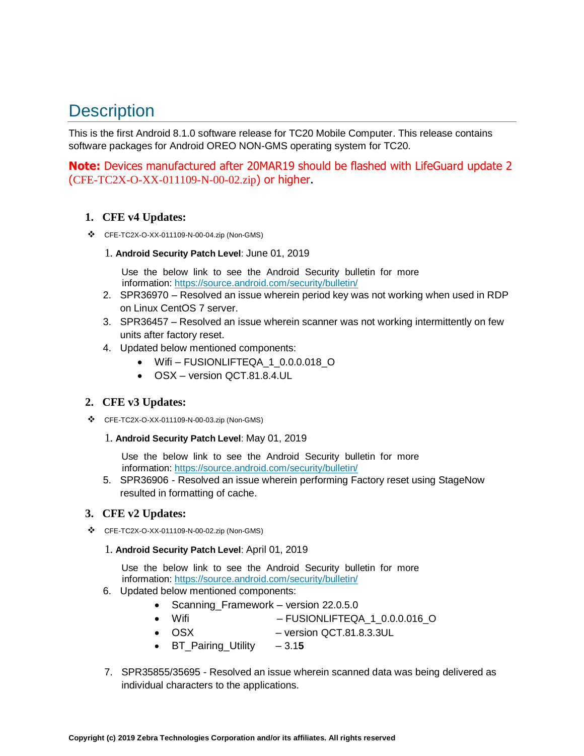# **Description**

This is the first Android 8.1.0 software release for TC20 Mobile Computer. This release contains software packages for Android OREO NON-GMS operating system for TC20.

**Note:** Devices manufactured after 20MAR19 should be flashed with LifeGuard update 2 (CFE-TC2X-O-XX-011109-N-00-02.zip) or higher.

#### **1. CFE v4 Updates:**

- ❖ CFE-TC2X-O-XX-011109-N-00-04.zip (Non-GMS)
	- 1. **Android Security Patch Level**: June 01, 2019

Use the below link to see the Android Security bulletin for more information:<https://source.android.com/security/bulletin/>

- 2. SPR36970 Resolved an issue wherein period key was not working when used in RDP on Linux CentOS 7 server.
- 3. SPR36457 Resolved an issue wherein scanner was not working intermittently on few units after factory reset.
- 4. Updated below mentioned components:
	- Wifi FUSIONLIFTEQA\_1\_0.0.0.018\_O
	- OSX version QCT.81.8.4.UL

#### **2. CFE v3 Updates:**

- ❖ CFE-TC2X-O-XX-011109-N-00-03.zip (Non-GMS)
	- 1. **Android Security Patch Level**: May 01, 2019

Use the below link to see the Android Security bulletin for more information:<https://source.android.com/security/bulletin/>

5. SPR36906 - Resolved an issue wherein performing Factory reset using StageNow resulted in formatting of cache.

#### **3. CFE v2 Updates:**

- ❖ CFE-TC2X-O-XX-011109-N-00-02.zip (Non-GMS)
	- 1. **Android Security Patch Level**: April 01, 2019

Use the below link to see the Android Security bulletin for more information:<https://source.android.com/security/bulletin/>

- 6. Updated below mentioned components:
	- Scanning Framework version 22.0.5.0
	- Wifi FUSIONLIFTEQA\_1\_0.0.0.016\_O
	- OSX version QCT.81.8.3.3UL
	- BT\_Pairing\_Utility 3.1**5**
- 7. SPR35855/35695 Resolved an issue wherein scanned data was being delivered as individual characters to the applications.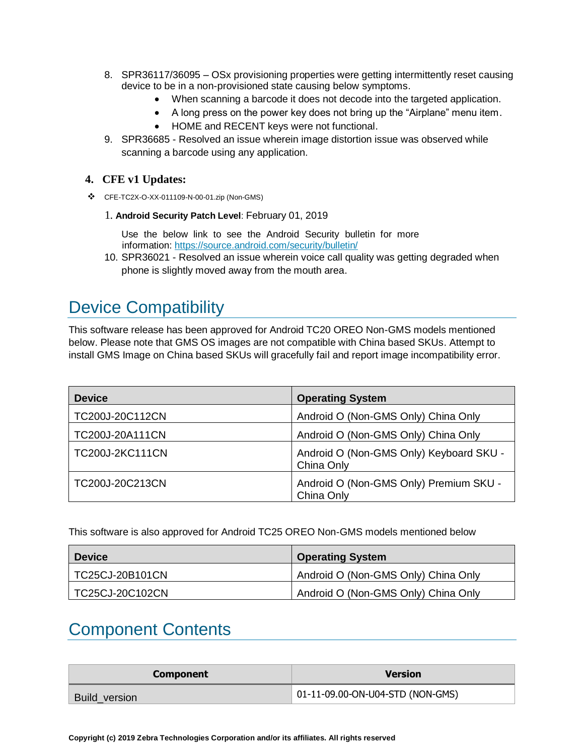- 8. SPR36117/36095 OSx provisioning properties were getting intermittently reset causing device to be in a non-provisioned state causing below symptoms.
	- When scanning a barcode it does not decode into [the](https://confluence.zebra.com/pages/createpage.action?spaceKey=LIF&title=customer+apps+or+DWDEMO) targeted application.
	- A long press on the power key does not bring up the "Airplane" menu item.
	- HOME and RECENT keys were not functional.
- 9. SPR36685 Resolved an issue wherein image distortion issue was observed while scanning a barcode using any application.

#### **4. CFE v1 Updates:**

- ❖ CFE-TC2X-O-XX-011109-N-00-01.zip (Non-GMS)
	- 1. **Android Security Patch Level**: February 01, 2019

Use the below link to see the Android Security bulletin for more information:<https://source.android.com/security/bulletin/>

10. SPR36021 - Resolved an issue wherein voice call quality was getting degraded when phone is slightly moved away from the mouth area.

## <span id="page-2-0"></span>Device Compatibility

This software release has been approved for Android TC20 OREO Non-GMS models mentioned below. Please note that GMS OS images are not compatible with China based SKUs. Attempt to install GMS Image on China based SKUs will gracefully fail and report image incompatibility error.

| <b>Device</b>          | <b>Operating System</b>                               |
|------------------------|-------------------------------------------------------|
| TC200J-20C112CN        | Android O (Non-GMS Only) China Only                   |
| TC200J-20A111CN        | Android O (Non-GMS Only) China Only                   |
| <b>TC200J-2KC111CN</b> | Android O (Non-GMS Only) Keyboard SKU -<br>China Only |
| TC200J-20C213CN        | Android O (Non-GMS Only) Premium SKU -<br>China Only  |

<span id="page-2-1"></span>This software is also approved for Android TC25 OREO Non-GMS models mentioned below

| <b>Device</b>   | <b>Operating System</b>             |
|-----------------|-------------------------------------|
| TC25CJ-20B101CN | Android O (Non-GMS Only) China Only |
| TC25CJ-20C102CN | Android O (Non-GMS Only) China Only |

## Component Contents

| <b>Component</b> | <b>Version</b>                   |
|------------------|----------------------------------|
| Build_version    | 01-11-09.00-ON-U04-STD (NON-GMS) |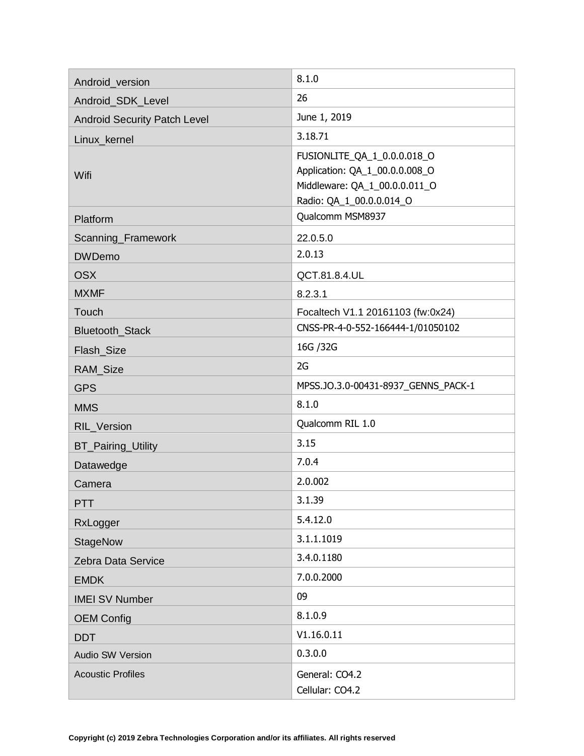| Android_version                     | 8.1.0                                                                                                                      |
|-------------------------------------|----------------------------------------------------------------------------------------------------------------------------|
| Android_SDK_Level                   | 26                                                                                                                         |
| <b>Android Security Patch Level</b> | June 1, 2019                                                                                                               |
| Linux_kernel                        | 3.18.71                                                                                                                    |
| Wifi                                | FUSIONLITE_QA_1_0.0.0.018_O<br>Application: QA_1_00.0.0.008_O<br>Middleware: QA_1_00.0.0.011_O<br>Radio: QA_1_00.0.0.014_O |
| Platform                            | Qualcomm MSM8937                                                                                                           |
| Scanning_Framework                  | 22.0.5.0                                                                                                                   |
| <b>DWDemo</b>                       | 2.0.13                                                                                                                     |
| <b>OSX</b>                          | QCT.81.8.4.UL                                                                                                              |
| <b>MXMF</b>                         | 8.2.3.1                                                                                                                    |
| Touch                               | Focaltech V1.1 20161103 (fw:0x24)                                                                                          |
| Bluetooth_Stack                     | CNSS-PR-4-0-552-166444-1/01050102                                                                                          |
| Flash_Size                          | 16G / 32G                                                                                                                  |
| RAM_Size                            | 2G                                                                                                                         |
| <b>GPS</b>                          | MPSS.JO.3.0-00431-8937_GENNS_PACK-1                                                                                        |
| <b>MMS</b>                          | 8.1.0                                                                                                                      |
| <b>RIL Version</b>                  | Qualcomm RIL 1.0                                                                                                           |
| <b>BT_Pairing_Utility</b>           | 3.15                                                                                                                       |
| Datawedge                           | 7.0.4                                                                                                                      |
| Camera                              | 2.0.002                                                                                                                    |
| <b>PTT</b>                          | 3.1.39                                                                                                                     |
| RxLogger                            | 5.4.12.0                                                                                                                   |
| <b>StageNow</b>                     | 3.1.1.1019                                                                                                                 |
| Zebra Data Service                  | 3.4.0.1180                                                                                                                 |
| <b>EMDK</b>                         | 7.0.0.2000                                                                                                                 |
| <b>IMEI SV Number</b>               | 09                                                                                                                         |
| <b>OEM Config</b>                   | 8.1.0.9                                                                                                                    |
| <b>DDT</b>                          | V1.16.0.11                                                                                                                 |
| <b>Audio SW Version</b>             | 0.3.0.0                                                                                                                    |
| <b>Acoustic Profiles</b>            | General: CO4.2<br>Cellular: CO4.2                                                                                          |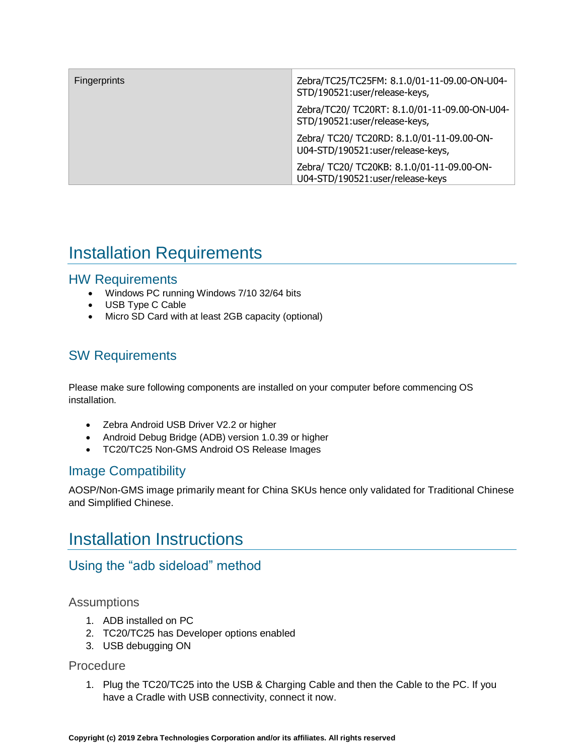| Fingerprints | Zebra/TC25/TC25FM: 8.1.0/01-11-09.00-ON-U04-<br>STD/190521:user/release-keys,   |
|--------------|---------------------------------------------------------------------------------|
|              | Zebra/TC20/ TC20RT: 8.1.0/01-11-09.00-ON-U04-<br>STD/190521:user/release-keys,  |
|              | Zebra/ TC20/ TC20RD: 8.1.0/01-11-09.00-ON-<br>U04-STD/190521:user/release-keys, |
|              | Zebra/ TC20/ TC20KB: 8.1.0/01-11-09.00-ON-<br>U04-STD/190521:user/release-keys  |

# <span id="page-4-0"></span>Installation Requirements

### HW Requirements

- Windows PC running Windows 7/10 32/64 bits
- USB Type C Cable
- Micro SD Card with at least 2GB capacity (optional)

### SW Requirements

Please make sure following components are installed on your computer before commencing OS installation.

- Zebra Android USB Driver V2.2 or higher
- Android Debug Bridge (ADB) version 1.0.39 or higher
- TC20/TC25 Non-GMS Android OS Release Images

### Image Compatibility

<span id="page-4-1"></span>AOSP/Non-GMS image primarily meant for China SKUs hence only validated for Traditional Chinese and Simplified Chinese.

## Installation Instructions

### Using the "adb sideload" method

### Assumptions

- 1. ADB installed on PC
- 2. TC20/TC25 has Developer options enabled
- 3. USB debugging ON

### **Procedure**

1. Plug the TC20/TC25 into the USB & Charging Cable and then the Cable to the PC. If you have a Cradle with USB connectivity, connect it now.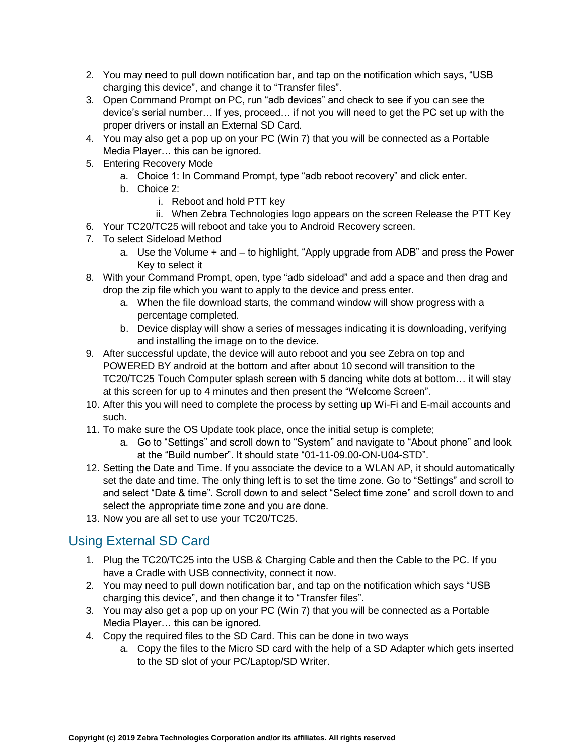- 2. You may need to pull down notification bar, and tap on the notification which says, "USB charging this device", and change it to "Transfer files".
- 3. Open Command Prompt on PC, run "adb devices" and check to see if you can see the device's serial number… If yes, proceed… if not you will need to get the PC set up with the proper drivers or install an External SD Card.
- 4. You may also get a pop up on your PC (Win 7) that you will be connected as a Portable Media Player… this can be ignored.
- 5. Entering Recovery Mode
	- a. Choice 1: In Command Prompt, type "adb reboot recovery" and click enter.
	- b. Choice 2:
		- i. Reboot and hold PTT key
		- ii. When Zebra Technologies logo appears on the screen Release the PTT Key
- 6. Your TC20/TC25 will reboot and take you to Android Recovery screen.
- 7. To select Sideload Method
	- a. Use the Volume + and to highlight, "Apply upgrade from ADB" and press the Power Key to select it
- 8. With your Command Prompt, open, type "adb sideload" and add a space and then drag and drop the zip file which you want to apply to the device and press enter.
	- a. When the file download starts, the command window will show progress with a percentage completed.
	- b. Device display will show a series of messages indicating it is downloading, verifying and installing the image on to the device.
- 9. After successful update, the device will auto reboot and you see Zebra on top and POWERED BY android at the bottom and after about 10 second will transition to the TC20/TC25 Touch Computer splash screen with 5 dancing white dots at bottom… it will stay at this screen for up to 4 minutes and then present the "Welcome Screen".
- 10. After this you will need to complete the process by setting up Wi-Fi and E-mail accounts and such.
- 11. To make sure the OS Update took place, once the initial setup is complete;
	- a. Go to "Settings" and scroll down to "System" and navigate to "About phone" and look at the "Build number". It should state "01-11-09.00-ON-U04-STD".
- 12. Setting the Date and Time. If you associate the device to a WLAN AP, it should automatically set the date and time. The only thing left is to set the time zone. Go to "Settings" and scroll to and select "Date & time". Scroll down to and select "Select time zone" and scroll down to and select the appropriate time zone and you are done.
- 13. Now you are all set to use your TC20/TC25.

## Using External SD Card

- 1. Plug the TC20/TC25 into the USB & Charging Cable and then the Cable to the PC. If you have a Cradle with USB connectivity, connect it now.
- 2. You may need to pull down notification bar, and tap on the notification which says "USB charging this device", and then change it to "Transfer files".
- 3. You may also get a pop up on your PC (Win 7) that you will be connected as a Portable Media Player… this can be ignored.
- 4. Copy the required files to the SD Card. This can be done in two ways
	- a. Copy the files to the Micro SD card with the help of a SD Adapter which gets inserted to the SD slot of your PC/Laptop/SD Writer.